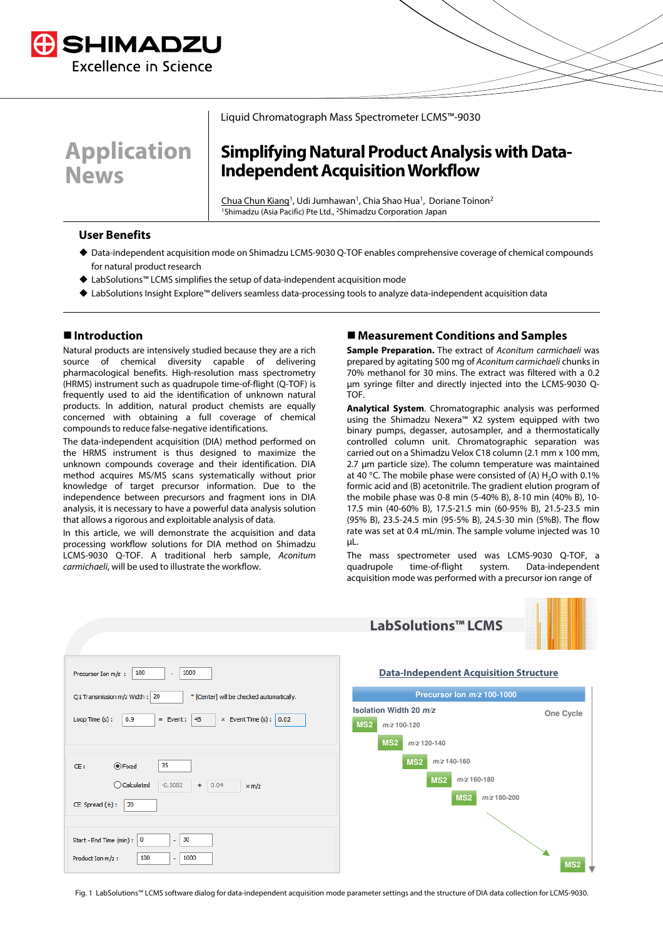

**Application News**

#### Liquid Chromatograph Mass Spectrometer LCMS™-9030

# **Simplifying Natural Product Analysis with Data-Independent Acquisition Workflow**

Chua Chun Kiang<sup>1</sup>, Udi Jumhawan<sup>1</sup>, Chia Shao Hua<sup>1</sup>, Doriane Toinon<sup>2</sup> <sup>1</sup>Shimadzu (Asia Pacific) Pte Ltd., <sup>2</sup>Shimadzu Corporation Japan

#### **User Benefits**

- Data-independent acquisition mode on Shimadzu LCMS-9030 Q-TOF enables comprehensive coverage of chemical compounds for natural product research
- LabSolutions™ LCMS simplifies the setup of data-independent acquisition mode
- LabSolutions Insight Explore™ delivers seamless data-processing tools to analyze data-independent acquisition data

### **Introduction**

Natural products are intensively studied because they are a rich source of chemical diversity capable of delivering pharmacological benefits. High-resolution mass spectrometry (HRMS) instrument such as quadrupole time-of-flight (Q-TOF) is frequently used to aid the identification of unknown natural products. In addition, natural product chemists are equally concerned with obtaining a full coverage of chemical compounds to reduce false-negative identifications.

The data-independent acquisition (DIA) method performed on the HRMS instrument is thus designed to maximize the unknown compounds coverage and their identification. DIA method acquires MS/MS scans systematically without prior knowledge of target precursor information. Due to the independence between precursors and fragment ions in DIA analysis, it is necessary to have a powerful data analysis solution that allows a rigorous and exploitable analysis of data.

In this article, we will demonstrate the acquisition and data processing workflow solutions for DIA method on Shimadzu LCMS-9030 Q-TOF. A traditional herb sample, Aconitum carmichaeli, will be used to illustrate the workflow.

#### **Measurement Conditions and Samples**

**Sample Preparation.** The extract of *Aconitum carmichaeli* was prepared by agitating 500 mg of Aconitum carmichaeli chunks in 70% methanol for 30 mins. The extract was filtered with a 0.2 µm syringe filter and directly injected into the LCMS-9030 Q-TOF.

**Analytical System**. Chromatographic analysis was performed using the Shimadzu Nexera™ X2 system equipped with two binary pumps, degasser, autosampler, and a thermostatically controlled column unit. Chromatographic separation was carried out on a Shimadzu Velox C18 column (2.1 mm x 100 mm, 2.7 um particle size). The column temperature was maintained at 40 °C. The mobile phase were consisted of (A)  $H_2O$  with 0.1% formic acid and (B) acetonitrile. The gradient elution program of the mobile phase was 0-8 min (5-40% B), 8-10 min (40% B), 10- 17.5 min (40-60% B), 17.5-21.5 min (60-95% B), 21.5-23.5 min (95% B), 23.5-24.5 min (95-5% B), 24.5-30 min (5%B). The flow rate was set at 0.4 mL/min. The sample volume injected was 10 µL.

The mass spectrometer used was LCMS-9030 Q-TOF, a quadrupole time-of-flight system. Data-independent acquisition mode was performed with a precursor ion range of



Fig. 1 LabSolutions™ LCMS software dialog for data-independent acquisition mode parameter settings and the structure of DIA data collection for LCMS-9030.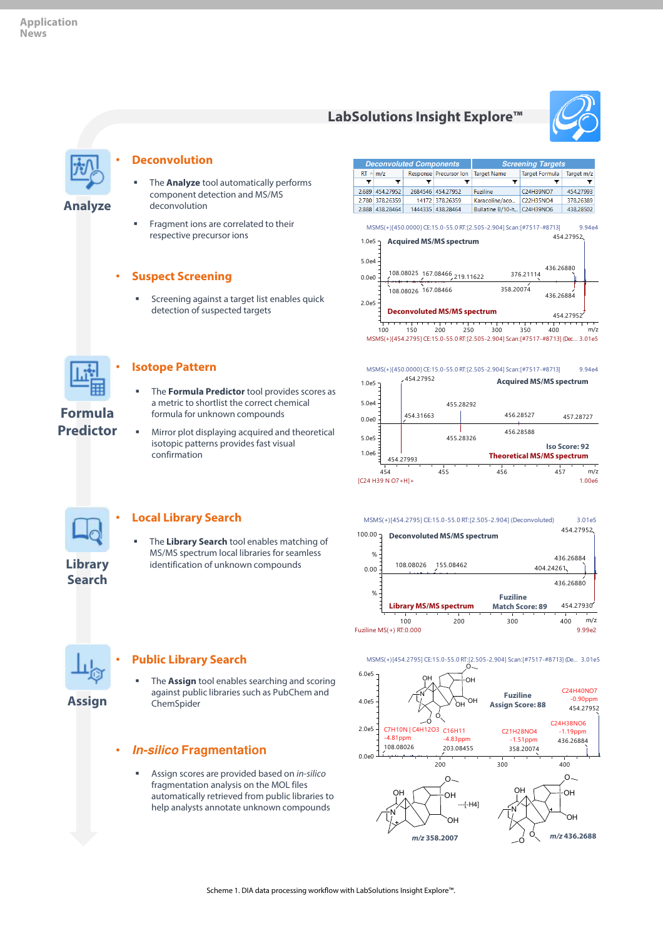## **LabSolutions Insight Explore™**





**Analyze**

#### • **Deconvolution**

- The **Analyze** tool automatically performs component detection and MS/MS deconvolution
- Fragment ions are correlated to their respective precursor ions

#### • **Suspect Screening**

 Screening against a target list enables quick detection of suspected targets



**Formula Predictor**

### • **Isotope Pattern**

- The **Formula Predictor** tool provides scores as a metric to shortlist the correct chemical formula for unknown compounds
- Mirror plot displaying acquired and theoretical isotopic patterns provides fast visual confirmation









#### • **Local Library Search**

 The **Library Search** tool enables matching of MS/MS spectrum local libraries for seamless identification of unknown compounds

**Search**



**Assign**

#### • **Public Library Search**

 The **Assign** tool enables searching and scoring against public libraries such as PubChem and ChemSpider

## • **In-silico Fragmentation**

 Assign scores are provided based on in-silico fragmentation analysis on the MOL files automatically retrieved from public libraries to help analysts annotate unknown compounds